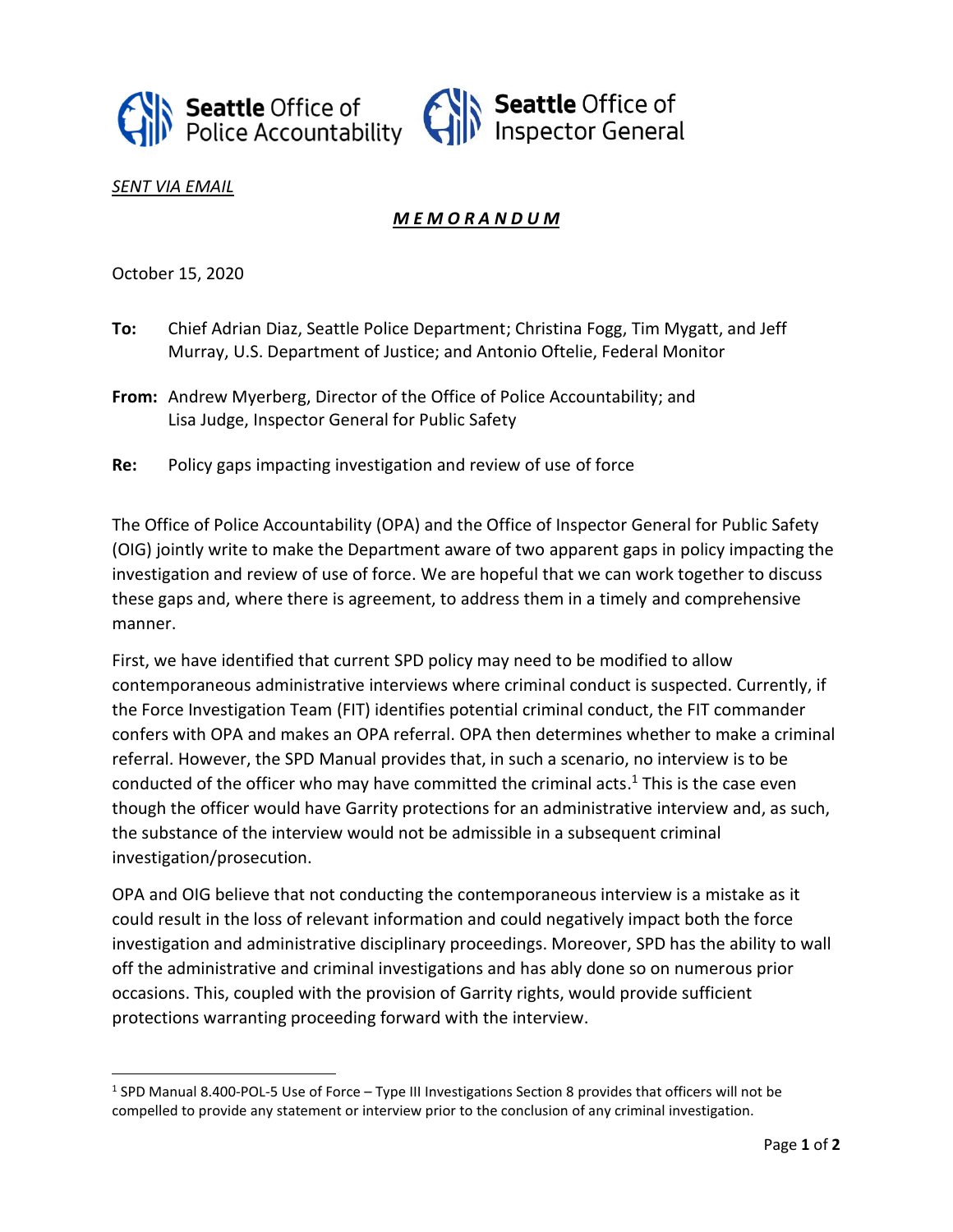

## *SENT VIA EMAIL*

## *M E M O R A N D U M*

October 15, 2020

- **To:** Chief Adrian Diaz, Seattle Police Department; Christina Fogg, Tim Mygatt, and Jeff Murray, U.S. Department of Justice; and Antonio Oftelie, Federal Monitor
- **From:** Andrew Myerberg, Director of the Office of Police Accountability; and Lisa Judge, Inspector General for Public Safety
- **Re:** Policy gaps impacting investigation and review of use of force

The Office of Police Accountability (OPA) and the Office of Inspector General for Public Safety (OIG) jointly write to make the Department aware of two apparent gaps in policy impacting the investigation and review of use of force. We are hopeful that we can work together to discuss these gaps and, where there is agreement, to address them in a timely and comprehensive manner.

First, we have identified that current SPD policy may need to be modified to allow contemporaneous administrative interviews where criminal conduct is suspected. Currently, if the Force Investigation Team (FIT) identifies potential criminal conduct, the FIT commander confers with OPA and makes an OPA referral. OPA then determines whether to make a criminal referral. However, the SPD Manual provides that, in such a scenario, no interview is to be conducted of the officer who may have committed the criminal acts.<sup>1</sup> This is the case even though the officer would have Garrity protections for an administrative interview and, as such, the substance of the interview would not be admissible in a subsequent criminal investigation/prosecution.

OPA and OIG believe that not conducting the contemporaneous interview is a mistake as it could result in the loss of relevant information and could negatively impact both the force investigation and administrative disciplinary proceedings. Moreover, SPD has the ability to wall off the administrative and criminal investigations and has ably done so on numerous prior occasions. This, coupled with the provision of Garrity rights, would provide sufficient protections warranting proceeding forward with the interview.

<sup>&</sup>lt;sup>1</sup> SPD Manual 8.400-POL-5 Use of Force – Type III Investigations Section 8 provides that officers will not be compelled to provide any statement or interview prior to the conclusion of any criminal investigation.